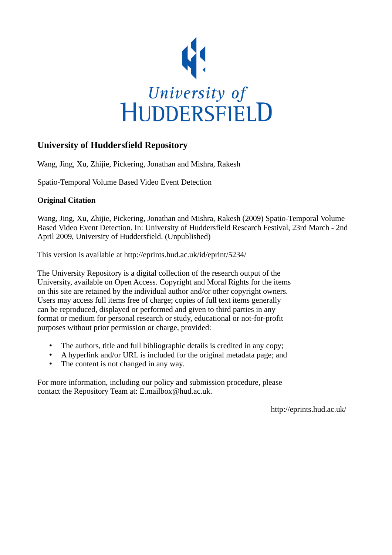

# **University of Huddersfield Repository**

Wang, Jing, Xu, Zhijie, Pickering, Jonathan and Mishra, Rakesh

Spatio-Temporal Volume Based Video Event Detection

# **Original Citation**

Wang, Jing, Xu, Zhijie, Pickering, Jonathan and Mishra, Rakesh (2009) Spatio-Temporal Volume Based Video Event Detection. In: University of Huddersfield Research Festival, 23rd March - 2nd April 2009, University of Huddersfield. (Unpublished)

This version is available at http://eprints.hud.ac.uk/id/eprint/5234/

The University Repository is a digital collection of the research output of the University, available on Open Access. Copyright and Moral Rights for the items on this site are retained by the individual author and/or other copyright owners. Users may access full items free of charge; copies of full text items generally can be reproduced, displayed or performed and given to third parties in any format or medium for personal research or study, educational or not-for-profit purposes without prior permission or charge, provided:

- The authors, title and full bibliographic details is credited in any copy;
- A hyperlink and/or URL is included for the original metadata page; and
- The content is not changed in any way.

For more information, including our policy and submission procedure, please contact the Repository Team at: E.mailbox@hud.ac.uk.

http://eprints.hud.ac.uk/